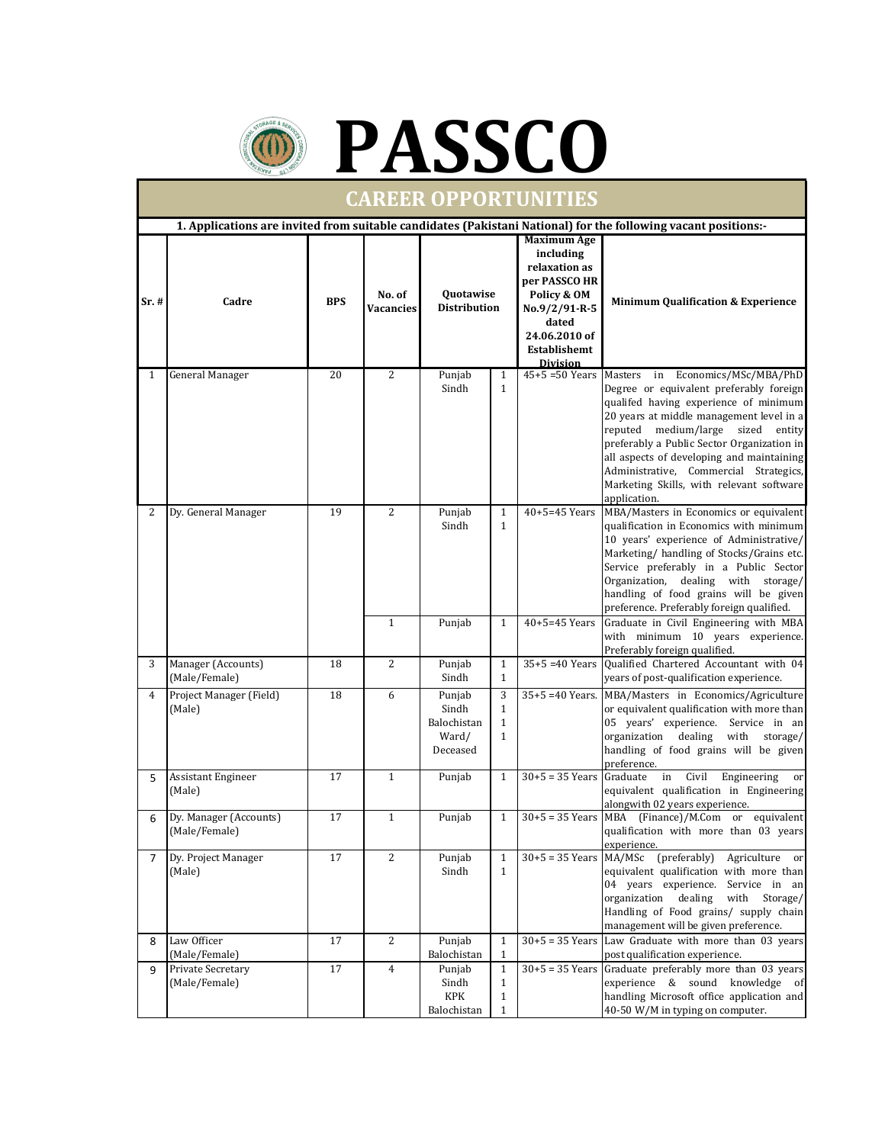



| <b>CAREER OPPORTUNITIES</b>                                                                                    |                                         |            |                            |                                                     |                                                              |                                                                                                                                                                |                                                                                                                                                                                                                                                                                                                                                                                                                                |  |  |  |  |  |
|----------------------------------------------------------------------------------------------------------------|-----------------------------------------|------------|----------------------------|-----------------------------------------------------|--------------------------------------------------------------|----------------------------------------------------------------------------------------------------------------------------------------------------------------|--------------------------------------------------------------------------------------------------------------------------------------------------------------------------------------------------------------------------------------------------------------------------------------------------------------------------------------------------------------------------------------------------------------------------------|--|--|--|--|--|
| 1. Applications are invited from suitable candidates (Pakistani National) for the following vacant positions:- |                                         |            |                            |                                                     |                                                              |                                                                                                                                                                |                                                                                                                                                                                                                                                                                                                                                                                                                                |  |  |  |  |  |
| Sr. #                                                                                                          | Cadre                                   | <b>BPS</b> | No. of<br><b>Vacancies</b> | Quotawise<br><b>Distribution</b>                    |                                                              | <b>Maximum Age</b><br>including<br>relaxation as<br>per PASSCO HR<br>Policy & OM<br>No.9/2/91-R-5<br>dated<br>24.06.2010 of<br>Establishemt<br><b>Division</b> | <b>Minimum Qualification &amp; Experience</b>                                                                                                                                                                                                                                                                                                                                                                                  |  |  |  |  |  |
| $\mathbf{1}$                                                                                                   | General Manager                         | 20         | 2                          | Punjab<br>Sindh                                     | $\mathbf{1}$<br>$\mathbf{1}$                                 | $45 + 5 = 50$ Years                                                                                                                                            | Masters in Economics/MSc/MBA/PhD<br>Degree or equivalent preferably foreign<br>qualifed having experience of minimum<br>20 years at middle management level in a<br>reputed medium/large sized entity<br>preferably a Public Sector Organization in<br>all aspects of developing and maintaining<br>Administrative, Commercial Strategics,<br>Marketing Skills, with relevant software<br>application.                         |  |  |  |  |  |
| 2                                                                                                              | Dy. General Manager                     | 19         | 2<br>$\mathbf{1}$          | Punjab<br>Sindh<br>Punjab                           | $\mathbf{1}$<br>$\mathbf{1}$<br>$\mathbf{1}$                 | $40 + 5 = 45$ Years<br>$40 + 5 = 45$ Years                                                                                                                     | MBA/Masters in Economics or equivalent<br>qualification in Economics with minimum<br>10 years' experience of Administrative/<br>Marketing/ handling of Stocks/Grains etc.<br>Service preferably in a Public Sector<br>Organization, dealing with storage/<br>handling of food grains will be given<br>preference. Preferably foreign qualified.<br>Graduate in Civil Engineering with MBA<br>with minimum 10 years experience. |  |  |  |  |  |
| 3                                                                                                              | Manager (Accounts)<br>(Male/Female)     | 18         | $\overline{2}$             | Punjab<br>Sindh                                     | $\mathbf{1}$<br>$\mathbf{1}$                                 | $35+5 = 40$ Years                                                                                                                                              | Preferably foreign qualified.<br>Qualified Chartered Accountant with 04<br>years of post-qualification experience.                                                                                                                                                                                                                                                                                                             |  |  |  |  |  |
| $\overline{4}$                                                                                                 | Project Manager (Field)<br>(Male)       | 18         | 6                          | Punjab<br>Sindh<br>Balochistan<br>Ward/<br>Deceased | 3<br>$\mathbf{1}$<br>$\mathbf{1}$<br>$\mathbf{1}$            |                                                                                                                                                                | 35+5 =40 Years. MBA/Masters in Economics/Agriculture<br>or equivalent qualification with more than<br>05 years' experience. Service in an<br>dealing<br>with<br>organization<br>storage/<br>handling of food grains will be given<br>preference.                                                                                                                                                                               |  |  |  |  |  |
| 5                                                                                                              | Assistant Engineer<br>(Male)            | 17         | $\mathbf{1}$               | Punjab                                              | $\mathbf{1}$                                                 | $30+5 = 35$ Years                                                                                                                                              | Graduate<br>Civil<br>Engineering<br>in<br>or<br>equivalent qualification in Engineering<br>alongwith 02 years experience.                                                                                                                                                                                                                                                                                                      |  |  |  |  |  |
| 6                                                                                                              | Dy. Manager (Accounts)<br>(Male/Female) | 17         | $\mathbf{1}$               | Punjab                                              | $\mathbf{1}$                                                 |                                                                                                                                                                | $30+5 = 35$ Years MBA (Finance)/M.Com or equivalent<br>qualification with more than 03 years<br>experience.                                                                                                                                                                                                                                                                                                                    |  |  |  |  |  |
| 7                                                                                                              | Dy. Project Manager<br>(Male)           | 17         | $\overline{2}$             | Punjab<br>Sindh                                     | $\mathbf{1}$<br>$\mathbf{1}$                                 | $30+5 = 35$ Years MA/MSc                                                                                                                                       | (preferably)<br>Agriculture or<br>equivalent qualification with more than<br>04 years experience. Service in an<br>organization dealing<br>with Storage/<br>Handling of Food grains/ supply chain<br>management will be given preference.                                                                                                                                                                                      |  |  |  |  |  |
| 8                                                                                                              | Law Officer<br>(Male/Female)            | 17         | 2                          | Punjab<br>Balochistan                               | $\mathbf{1}$<br>$\mathbf{1}$                                 |                                                                                                                                                                | $30+5 = 35$ Years Law Graduate with more than 03 years<br>post qualification experience.                                                                                                                                                                                                                                                                                                                                       |  |  |  |  |  |
| 9                                                                                                              | Private Secretary<br>(Male/Female)      | 17         | 4                          | Punjab<br>Sindh<br><b>KPK</b><br>Balochistan        | $\mathbf{1}$<br>$\mathbf{1}$<br>$\mathbf{1}$<br>$\mathbf{1}$ |                                                                                                                                                                | $30+5 = 35$ Years Graduate preferably more than 03 years<br>experience & sound knowledge of<br>handling Microsoft office application and<br>40-50 W/M in typing on computer.                                                                                                                                                                                                                                                   |  |  |  |  |  |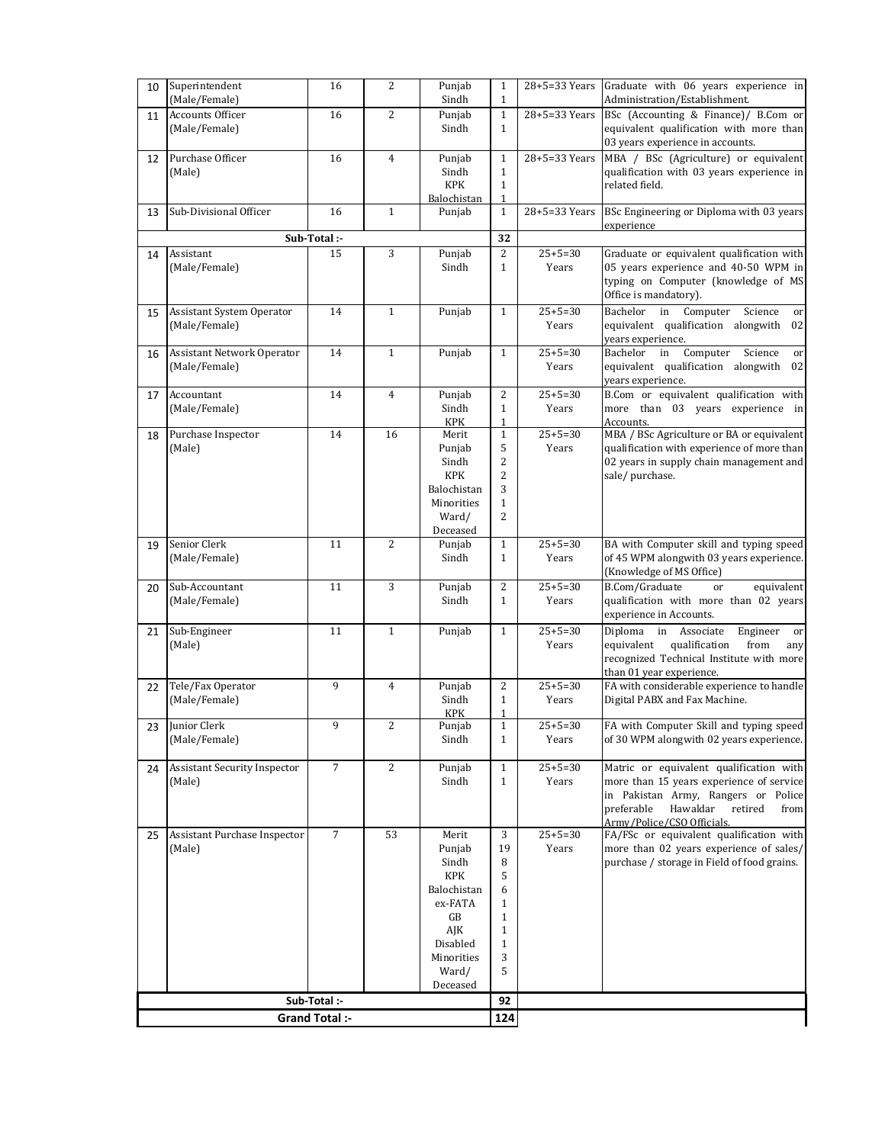| 10                    | Superintendent<br>(Male/Female)     | 16             | $\overline{2}$ | Punjab<br>Sindh        | $\mathbf{1}$<br>$\mathbf{1}$ |                        | $28+5=33$ Years Graduate with 06 years experience in<br>Administration/Establishment. |
|-----------------------|-------------------------------------|----------------|----------------|------------------------|------------------------------|------------------------|---------------------------------------------------------------------------------------|
| 11                    | <b>Accounts Officer</b>             | 16             | $\overline{2}$ | Punjab                 | $\mathbf{1}$                 | 28+5=33 Years          | BSc (Accounting & Finance)/ B.Com or                                                  |
|                       | (Male/Female)                       |                |                | Sindh                  | $\mathbf{1}$                 |                        | equivalent qualification with more than                                               |
|                       |                                     |                |                |                        |                              |                        | 03 years experience in accounts.                                                      |
| 12                    | Purchase Officer                    | 16             | $\overline{4}$ | Punjab                 | $\mathbf{1}$                 | 28+5=33 Years          | MBA / BSc (Agriculture) or equivalent                                                 |
|                       | (Male)                              |                |                | Sindh                  | $\mathbf{1}$                 |                        | qualification with 03 years experience in                                             |
|                       |                                     |                |                | <b>KPK</b>             | $\mathbf{1}$                 |                        | related field.                                                                        |
|                       |                                     |                |                | Balochistan            | 1                            |                        |                                                                                       |
| 13                    | Sub-Divisional Officer              | 16             | $\mathbf{1}$   | Punjab                 | $\mathbf{1}$                 | 28+5=33 Years          | BSc Engineering or Diploma with 03 years                                              |
|                       |                                     |                |                |                        |                              |                        | experience                                                                            |
|                       |                                     | Sub-Total :-   |                |                        | 32                           |                        |                                                                                       |
| 14                    | Assistant                           | 15             | 3              | Punjab                 | 2                            | $25+5=30$              | Graduate or equivalent qualification with<br>05 years experience and 40-50 WPM in     |
|                       | (Male/Female)                       |                |                | Sindh                  | $\mathbf{1}$                 | Years                  |                                                                                       |
|                       |                                     |                |                |                        |                              |                        | typing on Computer (knowledge of MS<br>Office is mandatory).                          |
|                       |                                     |                |                |                        |                              |                        |                                                                                       |
| 15                    | Assistant System Operator           | 14             | $\mathbf{1}$   | Punjab                 | $\mathbf{1}$                 | $25 + 5 = 30$          | in Computer<br>Science<br>Bachelor<br>or                                              |
|                       | (Male/Female)                       |                |                |                        |                              | Years                  | equivalent qualification alongwith 02<br>years experience.                            |
|                       | Assistant Network Operator          | 14             | $\mathbf{1}$   | Punjab                 | $\mathbf{1}$                 | $25 + 5 = 30$          | Bachelor in Computer Science<br>or                                                    |
| 16                    | (Male/Female)                       |                |                |                        |                              | Years                  | equivalent qualification alongwith 02                                                 |
|                       |                                     |                |                |                        |                              |                        | years experience.                                                                     |
| 17                    | Accountant                          | 14             | $\overline{4}$ | Punjab                 | $\overline{c}$               | $25 + 5 = 30$          | B.Com or equivalent qualification with                                                |
|                       | (Male/Female)                       |                |                | Sindh                  | $\mathbf{1}$                 | Years                  | more than 03 years experience in                                                      |
|                       |                                     |                |                | <b>KPK</b>             | $\mathbf{1}$                 |                        | Accounts.                                                                             |
| 18                    | Purchase Inspector                  | 14             | 16             | Merit                  | $\mathbf{1}$                 | $25 + 5 = 30$          | MBA / BSc Agriculture or BA or equivalent                                             |
|                       | (Male)                              |                |                | Punjab                 | 5                            | Years                  | qualification with experience of more than                                            |
|                       |                                     |                |                | Sindh                  | 2                            |                        | 02 years in supply chain management and                                               |
|                       |                                     |                |                | <b>KPK</b>             | 2                            |                        | sale/purchase.                                                                        |
|                       |                                     |                |                | Balochistan            | 3                            |                        |                                                                                       |
|                       |                                     |                |                | Minorities             | $\mathbf{1}$                 |                        |                                                                                       |
|                       |                                     |                |                | Ward/<br>Deceased      | 2                            |                        |                                                                                       |
|                       | Senior Clerk                        | 11             | $\overline{2}$ | Punjab                 | $\mathbf{1}$                 | $25 + 5 = 30$          | BA with Computer skill and typing speed                                               |
| 19                    | (Male/Female)                       |                |                | Sindh                  | $\mathbf{1}$                 | Years                  | of 45 WPM alongwith 03 years experience.                                              |
|                       |                                     |                |                |                        |                              |                        | (Knowledge of MS Office)                                                              |
| 20                    | Sub-Accountant                      | 11             | 3              | Punjab                 | $\overline{c}$               | $25 + 5 = 30$          | B.Com/Graduate<br><sub>or</sub><br>equivalent                                         |
|                       | (Male/Female)                       |                |                | Sindh                  | $\mathbf{1}$                 | Years                  | qualification with more than 02 years                                                 |
|                       |                                     |                |                |                        |                              |                        | experience in Accounts.                                                               |
| 21                    | Sub-Engineer                        | 11             | $1\,$          | Punjab                 | $\mathbf{1}$                 | $25+5=30$              | Diploma in Associate<br>Engineer<br>or                                                |
|                       | (Male)                              |                |                |                        |                              | Years                  | equivalent<br>qualification<br>from<br>any                                            |
|                       |                                     |                |                |                        |                              |                        | recognized Technical Institute with more                                              |
|                       |                                     |                |                |                        |                              |                        | than 01 year experience.                                                              |
| 22                    | Tele/Fax Operator                   | 9              | $\overline{4}$ | Punjab                 | $\overline{c}$               | $25 + 5 = 30$          | FA with considerable experience to handle                                             |
|                       | (Male/Female)                       |                |                | Sindh                  | $\mathbf{1}$                 | Years                  | Digital PABX and Fax Machine.                                                         |
|                       | 23 Junior Clerk                     |                |                | <b>KPK</b>             | $\mathbf{1}$                 |                        |                                                                                       |
|                       |                                     | 9              | 2              | Punjab                 | $\mathbf{1}$                 | $25 + 5 = 30$<br>Years | FA with Computer Skill and typing speed                                               |
|                       | (Male/Female)                       |                |                | Sindh                  | $\mathbf{1}$                 |                        | of 30 WPM alongwith 02 years experience.                                              |
| 24                    | <b>Assistant Security Inspector</b> | $\overline{7}$ | $\overline{2}$ | Punjab                 | $\mathbf{1}$                 | $25 + 5 = 30$          | Matric or equivalent qualification with                                               |
|                       | (Male)                              |                |                | Sindh                  | $\mathbf{1}$                 | Years                  | more than 15 years experience of service                                              |
|                       |                                     |                |                |                        |                              |                        | in Pakistan Army, Rangers or Police                                                   |
|                       |                                     |                |                |                        |                              |                        | preferable<br>Hawaldar<br>retired<br>from                                             |
|                       |                                     |                |                |                        |                              |                        | Army/Police/CSO Officials.                                                            |
| 25                    | Assistant Purchase Inspector        | $\overline{7}$ | 53             | Merit                  | 3                            | $25 + 5 = 30$          | FA/FSc or equivalent qualification with                                               |
|                       | (Male)                              |                |                | Punjab                 | 19                           | Years                  | more than 02 years experience of sales/                                               |
|                       |                                     |                |                | Sindh                  | 8                            |                        | purchase / storage in Field of food grains.                                           |
|                       |                                     |                |                | <b>KPK</b>             | 5                            |                        |                                                                                       |
|                       |                                     |                |                | Balochistan<br>ex-FATA | 6<br>1                       |                        |                                                                                       |
|                       |                                     |                |                | GB                     | 1                            |                        |                                                                                       |
|                       |                                     |                |                | AJK                    | 1                            |                        |                                                                                       |
|                       |                                     |                |                | Disabled               | $\mathbf{1}$                 |                        |                                                                                       |
|                       |                                     |                |                | Minorities             | 3                            |                        |                                                                                       |
|                       |                                     |                |                | Ward/                  | 5                            |                        |                                                                                       |
|                       |                                     |                |                | Deceased               |                              |                        |                                                                                       |
| Sub-Total :-          |                                     |                |                |                        |                              |                        |                                                                                       |
| <b>Grand Total :-</b> |                                     |                |                |                        |                              |                        |                                                                                       |